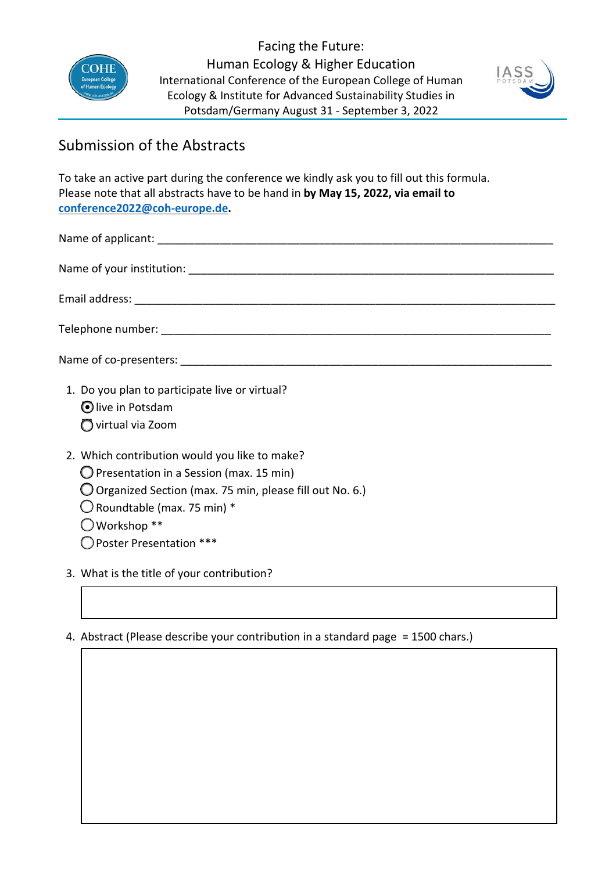

Facing the Future: Human Ecology & Higher Education International Conference of the European College of Human Ecology & Institute for Advanced Sustainability Studies in Potsdam/Germany August 31 - September 3, 2022



## Submission of the Abstracts

To take an active part during the conference we kindly ask you to fill out this formula. Please note that all abstracts have to be hand in **by May 15, 2022, via email to [conference2022@coh-europe.de.](mailto:conference2022@coh-europe.de?subject=Abstract%20Facing%20the%20Future%20|%20Conference%202022,%20COH-Europe)** 

| 1. Do you plan to participate live or virtual?<br>Olive in Potsdam<br>◯ virtual via Zoom |
|------------------------------------------------------------------------------------------|

- 2. Which contribution would you like to make?
	- $\bigcirc$  Presentation in a Session (max. 15 min)
	- □ Organized Section (max. 75 min, please fill out No. 6.)
	- $\bigcirc$  Roundtable (max. 75 min) \*
	- $\bigcirc$  Workshop \*\*
	- □Poster Presentation \*\*\*
- 3. What is the title of your contribution?

## 4. Abstract (Please describe your contribution in a standard page = 1500 chars.)